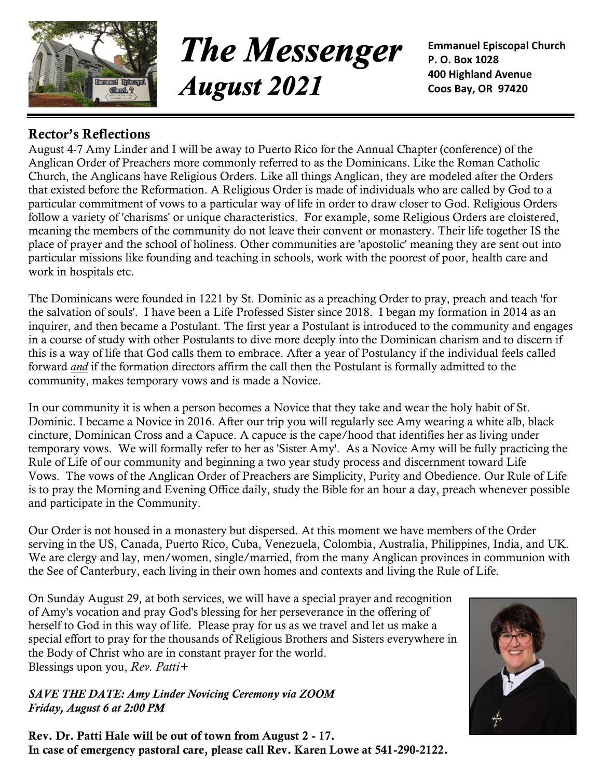

**The Messenger August 2021** 

**Emmanuel Episcopal Church P. O. Box 1028 400 Highland Avenue Coos Bay, OR 97420**

## **Rector's Reflections**

August 4-7 Amy Linder and I will be away to Puerto Rico for the Annual Chapter (conference) of the Anglican Order of Preachers more commonly referred to as the Dominicans. Like the Roman Catholic Church, the Anglicans have Religious Orders. Like all things Anglican, they are modeled after the Orders that existed before the Reformation. A Religious Order is made of individuals who are called by God to a particular commitment of vows to a particular way of life in order to draw closer to God. Religious Orders follow a variety of 'charisms' or unique characteristics. For example, some Religious Orders are cloistered, meaning the members of the community do not leave their convent or monastery. Their life together IS the place of prayer and the school of holiness. Other communities are 'apostolic' meaning they are sent out into particular missions like founding and teaching in schools, work with the poorest of poor, health care and work in hospitals etc.

The Dominicans were founded in 1221 by St. Dominic as a preaching Order to pray, preach and teach 'for the salvation of souls'. I have been a Life Professed Sister since 2018. I began my formation in 2014 as an inquirer, and then became a Postulant. The first year a Postulant is introduced to the community and engages in a course of study with other Postulants to dive more deeply into the Dominican charism and to discern if this is a way of life that God calls them to embrace. After a year of Postulancy if the individual feels called forward *and* if the formation directors affirm the call then the Postulant is formally admitted to the community, makes temporary vows and is made a Novice.

In our community it is when a person becomes a Novice that they take and wear the holy habit of St. Dominic. I became a Novice in 2016. After our trip you will regularly see Amy wearing a white alb, black cincture, Dominican Cross and a Capuce. A capuce is the cape/hood that identifies her as living under temporary vows. We will formally refer to her as 'Sister Amy'. As a Novice Amy will be fully practicing the Rule of Life of our community and beginning a two year study process and discernment toward Life Vows. The vows of the Anglican Order of Preachers are Simplicity, Purity and Obedience. Our Rule of Life is to pray the Morning and Evening Office daily, study the Bible for an hour a day, preach whenever possible and participate in the Community.

Our Order is not housed in a monastery but dispersed. At this moment we have members of the Order serving in the US, Canada, Puerto Rico, Cuba, Venezuela, Colombia, Australia, Philippines, India, and UK. We are clergy and lay, men/women, single/married, from the many Anglican provinces in communion with the See of Canterbury, each living in their own homes and contexts and living the Rule of Life.

On Sunday August 29, at both services, we will have a special prayer and recognition of Amy's vocation and pray God's blessing for her perseverance in the offering of herself to God in this way of life. Please pray for us as we travel and let us make a special effort to pray for the thousands of Religious Brothers and Sisters everywhere in the Body of Christ who are in constant prayer for the world. Blessings upon you, *Rev. Patti+*

*SAVE THE DATE: Amy Linder Novicing Ceremony via ZOOM Friday, August 6 at 2:00 PM*

**Rev. Dr. Patti Hale will be out of town from August 2 - 17. In case of emergency pastoral care, please call Rev. Karen Lowe at 541-290-2122.**

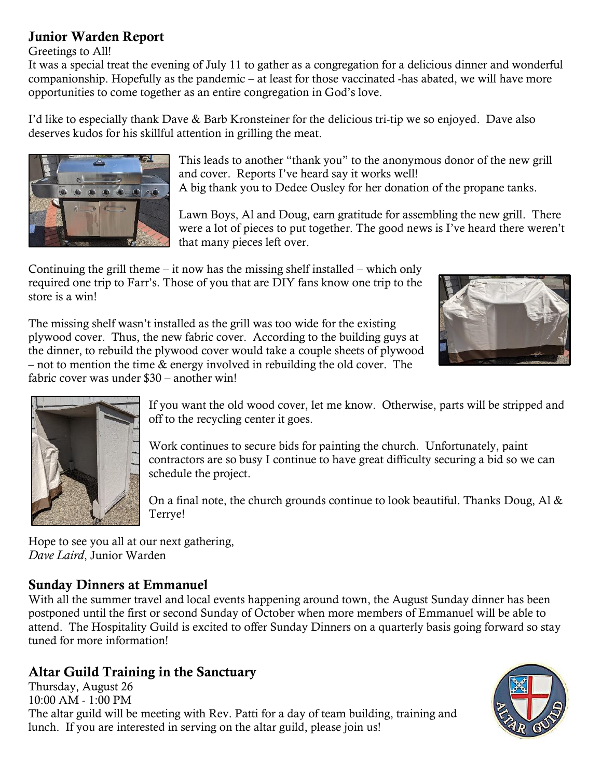## **Junior Warden Report**

Greetings to All!

It was a special treat the evening of July 11 to gather as a congregation for a delicious dinner and wonderful companionship. Hopefully as the pandemic – at least for those vaccinated -has abated, we will have more opportunities to come together as an entire congregation in God's love.

I'd like to especially thank Dave & Barb Kronsteiner for the delicious tri-tip we so enjoyed. Dave also deserves kudos for his skillful attention in grilling the meat.



This leads to another "thank you" to the anonymous donor of the new grill and cover. Reports I've heard say it works well!

A big thank you to Dedee Ousley for her donation of the propane tanks.

Lawn Boys, Al and Doug, earn gratitude for assembling the new grill. There were a lot of pieces to put together. The good news is I've heard there weren't that many pieces left over.

Continuing the grill theme – it now has the missing shelf installed – which only required one trip to Farr's. Those of you that are DIY fans know one trip to the store is a win!



The missing shelf wasn't installed as the grill was too wide for the existing plywood cover. Thus, the new fabric cover. According to the building guys at the dinner, to rebuild the plywood cover would take a couple sheets of plywood – not to mention the time & energy involved in rebuilding the old cover. The fabric cover was under \$30 – another win!



If you want the old wood cover, let me know. Otherwise, parts will be stripped and off to the recycling center it goes.

Work continues to secure bids for painting the church. Unfortunately, paint contractors are so busy I continue to have great difficulty securing a bid so we can schedule the project.

On a final note, the church grounds continue to look beautiful. Thanks Doug, Al  $\&$ Terrye!

Hope to see you all at our next gathering, *Dave Laird*, Junior Warden

## **Sunday Dinners at Emmanuel**

With all the summer travel and local events happening around town, the August Sunday dinner has been postponed until the first or second Sunday of October when more members of Emmanuel will be able to attend. The Hospitality Guild is excited to offer Sunday Dinners on a quarterly basis going forward so stay tuned for more information!

## **Altar Guild Training in the Sanctuary**

Thursday, August 26 10:00 AM - 1:00 PM The altar guild will be meeting with Rev. Patti for a day of team building, training and lunch. If you are interested in serving on the altar guild, please join us!

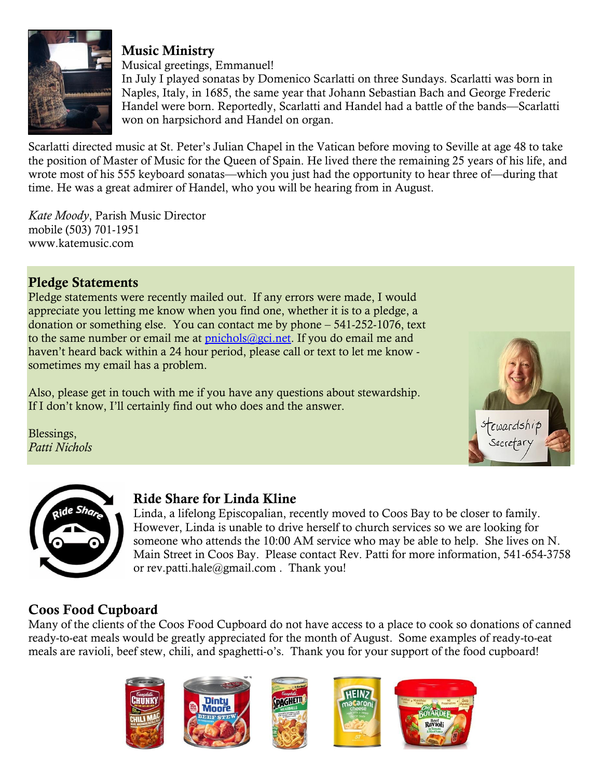

## **Music Ministry**

Musical greetings, Emmanuel!

In July I played sonatas by Domenico Scarlatti on three Sundays. Scarlatti was born in Naples, Italy, in 1685, the same year that Johann Sebastian Bach and George Frederic Handel were born. Reportedly, Scarlatti and Handel had a battle of the bands—Scarlatti won on harpsichord and Handel on organ.

Scarlatti directed music at St. Peter's Julian Chapel in the Vatican before moving to Seville at age 48 to take the position of Master of Music for the Queen of Spain. He lived there the remaining 25 years of his life, and wrote most of his 555 keyboard sonatas—which you just had the opportunity to hear three of—during that time. He was a great admirer of Handel, who you will be hearing from in August.

*Kate Moody*, Parish Music Director mobile (503) 701-1951 [www.katemusic.com](http://www.katemusic.com/)

## **Pledge Statements**

Pledge statements were recently mailed out. If any errors were made, I would appreciate you letting me know when you find one, whether it is to a pledge, a donation or something else. You can contact me by phone – 541-252-1076, text to the same number or email me at  $pinichols@gci.net$ . If you do email me and haven't heard back within a 24 hour period, please call or text to let me know sometimes my email has a problem.

Also, please get in touch with me if you have any questions about stewardship. If I don't know, I'll certainly find out who does and the answer.

Blessings, *Patti Nichols*





### **Ride Share for Linda Kline**

Linda, a lifelong Episcopalian, recently moved to Coos Bay to be closer to family. However, Linda is unable to drive herself to church services so we are looking for someone who attends the 10:00 AM service who may be able to help. She lives on N. Main Street in Coos Bay. Please contact Rev. Patti for more information, 541-654-3758 or [rev.patti.hale@gmail.com](mailto:rev.patti.hale@gmail.com) . Thank you!

## **Coos Food Cupboard**

Many of the clients of the Coos Food Cupboard do not have access to a place to cook so donations of canned ready-to-eat meals would be greatly appreciated for the month of August. Some examples of ready-to-eat meals are ravioli, beef stew, chili, and spaghetti-o's. Thank you for your support of the food cupboard!

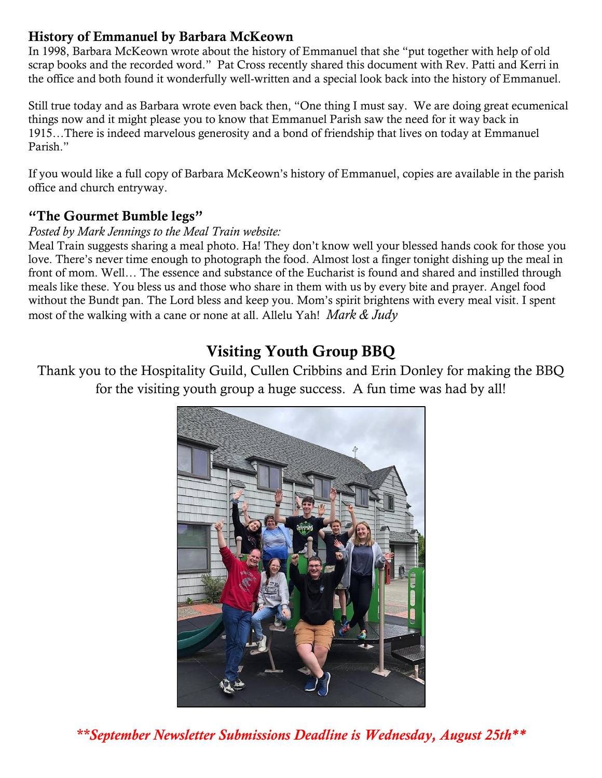## **History of Emmanuel by Barbara McKeown**

In 1998, Barbara McKeown wrote about the history of Emmanuel that she "put together with help of old scrap books and the recorded word." Pat Cross recently shared this document with Rev. Patti and Kerri in the office and both found it wonderfully well-written and a special look back into the history of Emmanuel.

Still true today and as Barbara wrote even back then, "One thing I must say. We are doing great ecumenical things now and it might please you to know that Emmanuel Parish saw the need for it way back in 1915…There is indeed marvelous generosity and a bond of friendship that lives on today at Emmanuel Parish."

If you would like a full copy of Barbara McKeown's history of Emmanuel, copies are available in the parish office and church entryway.

#### **"The Gourmet Bumble legs"**

#### *Posted by Mark Jennings to the Meal Train website:*

Meal Train suggests sharing a meal photo. Ha! They don't know well your blessed hands cook for those you love. There's never time enough to photograph the food. Almost lost a finger tonight dishing up the meal in front of mom. Well… The essence and substance of the Eucharist is found and shared and instilled through meals like these. You bless us and those who share in them with us by every bite and prayer. Angel food without the Bundt pan. The Lord bless and keep you. Mom's spirit brightens with every meal visit. I spent most of the walking with a cane or none at all. Allelu Yah! *Mark & Judy*

# **Visiting Youth Group BBQ**

Thank you to the Hospitality Guild, Cullen Cribbins and Erin Donley for making the BBQ for the visiting youth group a huge success. A fun time was had by all!



*\*\*September Newsletter Submissions Deadline is Wednesday, August 25th\*\**